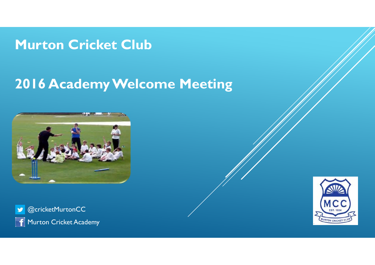#### **Murton Cricket Club**

## **2016 Academy Welcome Meeting**



@cricketMurtonCC  $\bullet$ Murton Cricket Academy  $\mathbf{f}$ 

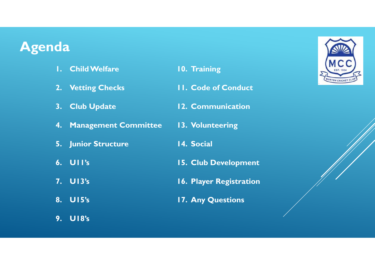#### **Agenda**

**1. Child Welfare 2. Vetting Checks 3. Club Update 4. Management Committee 5. Junior Structure 6. U11's 7. U13's 8. U15's 9. U18's 10. Training 11. Code of Conduct 12. Communication 13. Volunteering 14. Social 15. Club Development 16. Player Registration 17. Any Questions**

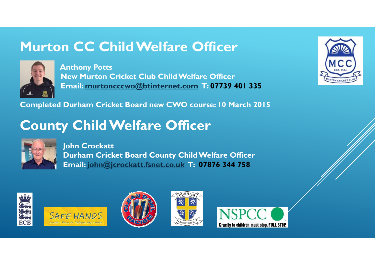## **Murton CC Child Welfare Officer**



**Anthony Potts New Murton Cricket Club Child Welfare Officer Email: murtoncccwo@btinternet.com T: 07739 401 335**

**Completed Durham Cricket Board new CWO course: 10 March 2015**

## **County Child Welfare Officer**



**John Crockatt Durham Cricket Board County Child Welfare Officer Email: john@jcrockatt.fsnet.co.uk T: 07876 344 758**











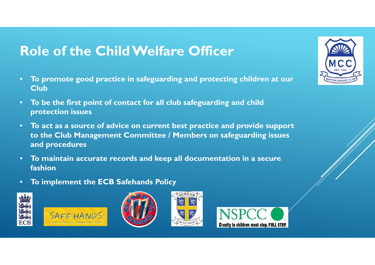## **Role of the Child Welfare Officer**

- $\bullet$  **To promote good practice in safeguarding and protecting children at our Club**
- $\bullet$  **To be the first point of contact for all club safeguarding and child protection issues**
- $\bullet$  **To act as a source of advice on current best practice and provide support to the Club Management Committee / Members on safeguarding issues and procedures**
- $\bullet$  **To maintain accurate records and keep all documentation in a secure fashion**
- $\bullet$ **To implement the ECB Safehands Policy**











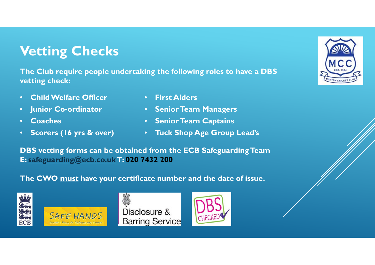## **Vetting Checks**

**The Club require people undertaking the following roles to have a DBS vetting check:**

- $\bullet$ **Child Welfare Officer**
- $\bullet$ **Junior Co-ordinator**
- •**Coaches**
- •**Scorers (16 yrs & over)**
- **First Aiders**
- **Senior Team Managers**
- **Senior Team Captains**
- **Tuck Shop Age Group Lead's**

**DBS vetting forms can be obtained from the ECB Safeguarding Team E: safeguarding@ecb.co.ukT: 020 7432 200**

#### **The CWO must have your certificate number and the date of issue.**





Disclosure & **Barring Service** 



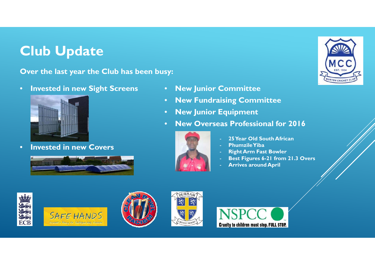## **Club Update**

**Over the last year the Club has been busy:**

•**Invested in new Sight Screens**



•**Invested in new Covers**





- $\bullet$ **New Fundraising Committee**
- •**New Junior Equipment**
- •**New Overseas Professional for 2016**



- **25 Year Old South African**
- **PhumzileYiba**
- **Right Arm Fast Bowler**
- **Best Figures 6-21 from 21.3 Overs**
- **Arrives around April**











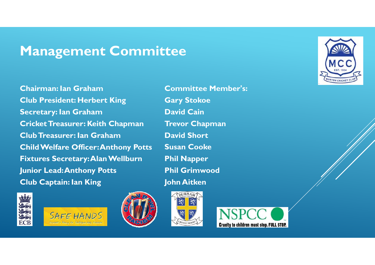### **Management Committee**

**Chairman: Ian GrahamClub President: Herbert King Secretary: Ian Graham Cricket Treasurer: Keith Chapman Club Treasurer: Ian GrahamChild Welfare Officer: Anthony Potts Fixtures Secretary: Alan Wellburn Junior Lead: Anthony Potts Club Captain: Ian King**





**Committee Member's: Gary Stokoe David CainTrevor Chapman David ShortSusan CookePhil Napper Phil GrimwoodJohn Aitken**





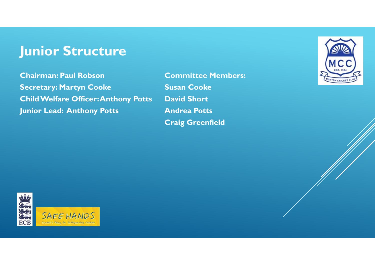### **Junior Structure**

**Chairman: Paul Robson Secretary: Martyn Cooke Child Welfare Officer: Anthony Potts Junior Lead: Anthony Potts**

**Committee Members: Susan Cooke David Short Andrea Potts Craig Greenfield**



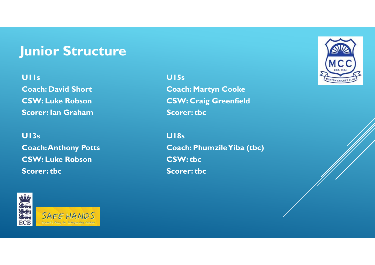### **Junior Structure**

#### **U11s**

**Coach: David Short CSW: Luke Robson Scorer: Ian Graham**

#### **U13s Coach: Anthony Potts CSW: Luke Robson Scorer: tbc**



**U15sCoach: Martyn Cooke CSW: Craig Greenfield Scorer: tbc**

**U18sCoach: PhumzileYiba (tbc) CSW: tbc Scorer: tbc**

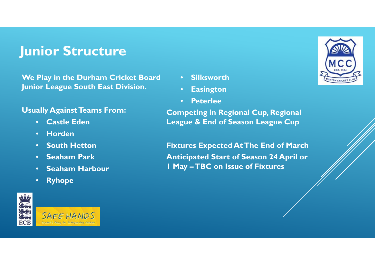### **Junior Structure**

**We Play in the Durham Cricket Board Junior League South East Division.**

#### **Usually Against Teams From:**

- **Castle Eden**
- **Horden**
- **South Hetton**
- **Seaham Park**
- **Seaham Harbour**
- **Ryhope**







- $\bullet$ **Easington**
- •**Peterlee**

**Competing in Regional Cup, Regional League & End of Season League Cup**

**Fixtures Expected At The End of March Anticipated Start of Season 24 April or 1 May –TBC on Issue of Fixtures**

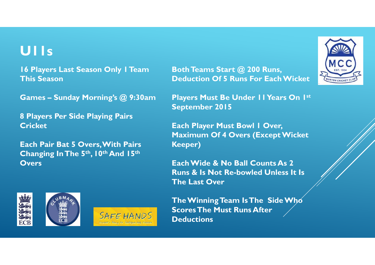### **U11s**

**16 Players Last Season Only 1 Team This Season**

**Games – Sunday Morning's @ 9:30am**

**8 Players Per Side Playing Pairs Cricket**

**Each Pair Bat 5 Overs, With Pairs Changing In The 5th, 10th And 15th Overs**

**Both Teams Start @ 200 Runs, Deduction Of 5 Runs For Each Wicket**

**Players Must Be Under 11 Years On 1st September 2015**

**Each Player Must Bowl 1 Over, Maximum Of 4 Overs (Except Wicket Keeper)**

**Each Wide & No Ball Counts As 2 Runs & Is Not Re-bowled Unless It Is The Last Over**





**The Winning Team Is The Side Who Scores The Must Runs After Deductions**

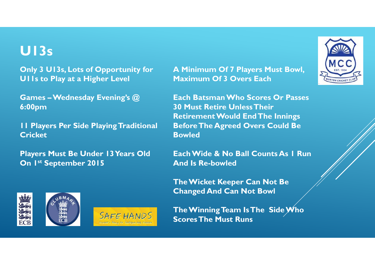### **U13s**

**Only 3 U13s, Lots of Opportunity for U11s to Play at a Higher Level**

**Games – Wednesday Evening's @ 6:00pm**

**11 Players Per Side Playing Traditional Cricket**

**Players Must Be Under 13 Years Old On 1st September 2015**

**A Minimum Of 7 Players Must Bowl, Maximum Of 3 Overs Each**

**Each Batsman Who Scores Or Passes 30 Must Retire Unless Their Retirement Would End The Innings Before The Agreed Overs Could Be Bowled**

**Each Wide & No Ball Counts As 1 Run And Is Re-bowled**

**The Wicket Keeper Can Not Be Changed And Can Not Bowl**

**The Winning Team Is The Side Who Scores The Must Runs**





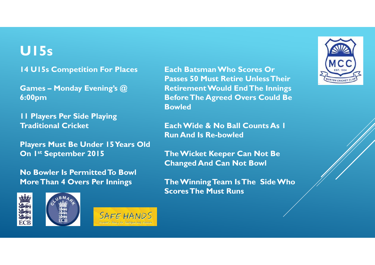### **U15s**

**14 U15s Competition For Places**

**Games – Monday Evening's @ 6:00pm**

**11 Players Per Side Playing Traditional Cricket**

**Players Must Be Under 15 Years Old On 1st September 2015**

**No Bowler Is Permitted To Bowl More Than 4 Overs Per Innings** 







**Each Batsman Who Scores Or Passes 50 Must Retire Unless Their Retirement Would End The Innings Before The Agreed Overs Could Be Bowled**

**Each Wide & No Ball Counts As 1 Run And Is Re-bowled**

**The Wicket Keeper Can Not Be Changed And Can Not Bowl**

**The Winning Team Is The Side Who Scores The Must Runs**

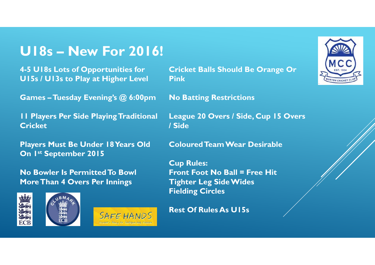### **U18s – New For 2016!**

**4-5 U18s Lots of Opportunities for U15s / U13s to Play at Higher Level**

**Games –Tuesday Evening's @ 6:00pm**

**11 Players Per Side Playing Traditional Cricket**

**Players Must Be Under 18 Years Old On 1st September 2015**

**No Bowler Is Permitted To Bowl More Than 4 Overs Per Innings** 







**Cricket Balls Should Be Orange Or Pink**

**No Batting Restrictions**

**League 20 Overs / Side, Cup 15 Overs / Side**

**Coloured Team Wear Desirable**

**Cup Rules: Front Foot No Ball = Free Hit Tighter Leg Side Wides Fielding Circles**

**Rest Of Rules As U15s**

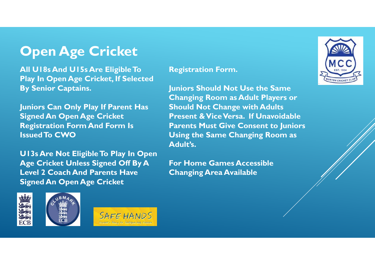## **Open Age Cricket**

**All U18s And U15s Are Eligible To Play In Open Age Cricket, If Selected By Senior Captains.**

**Juniors Can Only Play If Parent Has Signed An Open Age Cricket Registration Form And Form Is Issued To CWO**

**U13s Are Not Eligible To Play In Open Age Cricket Unless Signed Off By A Level 2 Coach And Parents Have Signed An Open Age Cricket** 

#### **Registration Form.**

**Juniors Should Not Use the Same Changing Room as Adult Players or Should Not Change with Adults Present & Vice Versa. If Unavoidable Parents Must Give Consent to Juniors Using the Same Changing Room as Adult's.**

**For Home Games Accessible Changing Area Available**







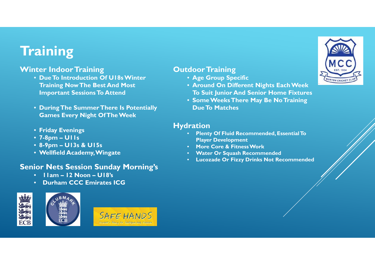## **Training**

#### **Winter Indoor Training**

- **Due To Introduction Of U18s Winter Training Now The Best And Most Important Sessions To Attend**
- **During The Summer There Is Potentially Games Every Night Of The Week**
- **Friday Evenings**
- **7-8pm – U11s**
- **8-9pm – U13s & U15s**
- **Wellfield Academy, Wingate**

#### **Senior Nets Session Sunday Morning's**

- **11am – 12 Noon – U18's**
- •**Durham CCC Emirates ICG**





- **Age Group Specific**
- **Around On Different Nights Each Week To Suit Junior And Senior Home Fixtures**
- **Some Weeks There May Be No Training Due To Matches**

#### **Hydration**

- $\mathbf{C}$  **Plenty Of Fluid Recommended, Essential To Player Development**
- •**More Core & Fitness Work**
- •**Water Or Squash Recommended**
- **Lucozade Or Fizzy Drinks Not Recommended**

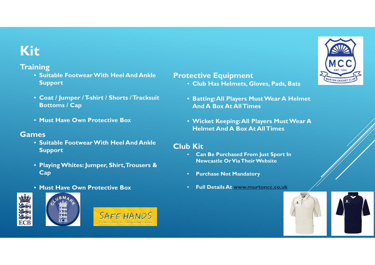## **Kit**

#### **Training**

- **Suitable Footwear With Heel And Ankle Support**
- **Coat / Jumper / T-shirt / Shorts / Tracksuit Bottoms / Cap**
- **Must Have Own Protective Box**

#### **Games**

- **Suitable Footwear With Heel And Ankle Support**
- **Playing Whites: Jumper, Shirt, Trousers & Cap**
- **Must Have Own Protective Box**







#### **Protective Equipment**

- **Club Has Helmets, Gloves, Pads, Bats**
- **Batting: All Players Must Wear A Helmet And A Box At All Times**
- **Wicket Keeping: All Players Must Wear A Helmet And A Box At All Times**

#### **Club Kit**

- **Can Be Purchased From Just Sport In Newcastle Or Via Their Website**
- **Purchase Not Mandatory**
- **Full Details At www.murtoncc.co.uk**



URTON CRICKET CLU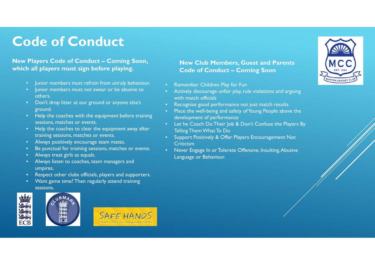## **Code of Conduct**

#### **New Players Code of Conduct – Coming Soon, which all players must sign before playing.**

- Junior members must refrain from unruly behaviour.
- Junior members must not swear or be abusive to others.
- Don't drop litter at our ground or anyone else's ground.
- Help the coaches with the equipment before training sessions, matches or events.
- Help the coaches to clear the equipment away after training sessions, matches or events.
- Always positively encourage team mates.
- Be punctual for training sessions, matches or events.
- Always treat girls as equals.
- • Always listen to coaches, team managers and umpires.
- •Respect other clubs officials, players and supporters.
- •Want game time? Then regularly attend training sessions.





#### **New Club Members, Guest and Parents Code of Conduct – Coming Soon**

- •Remember Children Play for Fun
- • Actively discourage unfair play, rule violations and arguing with match officials
- •Recognise good performance not just match results
- • Place the well-being and safety of Young People above the development of performance
- Let he Coach Do Their Job & Don't Confuse the Players By Telling Them What To Do
- Support Positively & Offer Players Encouragement Not **Criticism**
- • Never Engage In or Tolerate Offensive, Insulting, Abusive Language or Behaviour.

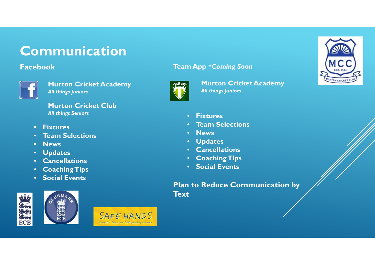## **Communication**

#### **Facebook**



**Murton Cricket Academy** *All things Juniors*

**Murton Cricket Club***All things Seniors*

- **Fixtures**
- **Team Selections**
- **News**
- •**Updates**
- •**Cancellations**
- **Coaching Tips**
- **Social Events**





#### **Team App** *\*Coming Soon*



**Murton Cricket Academy** *All things Juniors*



- **Fixtures**
- •**Team Selections**
- •**News**
- $\bullet$ **Updates**
- •**Cancellations**
- **Coaching Tips**
- **Social Events**

#### **Plan to Reduce Communication by Text**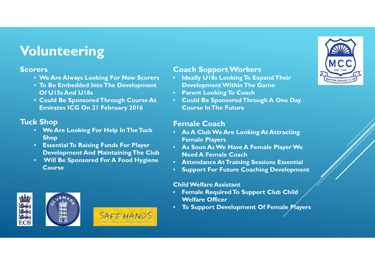## **Volunteering**

#### **Scorers**

- **We Are Always Looking For New Scorers**
- **To Be Embedded Into The Development Of U15s And U18s**
- **Could Be Sponsored Through Course At Emirates ICG On 21 February 2016**

#### **Tuck Shop**

- **We Are Looking For Help In The Tuck Shop**
- **Essential To Raising Funds For Player Development And Maintaining The Club**
- **Will Be Sponsored For A Food Hygiene Course**

#### **Coach Support Workers**

- **Ideally U18s Looking To Expand Their Development Within The Game**
- **Parent Looking To Coach**
- **Could Be Sponsored Through A One Day Course In The Future**

#### **Female Coach**

- **As A Club We Are Looking At Attracting Female Players**
- **As Soon As We Have A Female Player We Need A Female Coach**
- **Attendance At Training Sessions Essential**
- •**Support For Future Coaching Development**

#### **Child Welfare Assistant**

- • **Female Required To Support Club Child Welfare Officer**
- •**To Support Development Of Female Players**





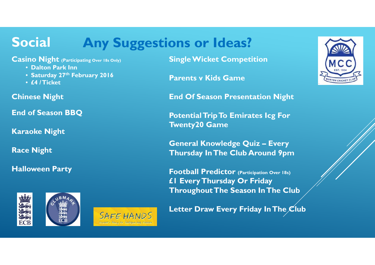#### **Social Any Suggestions or Ideas?**

**Casino Night (Participating Over 18s Only)**

- **Dalton Park Inn**
- **Saturday 27th February 2016**
- **£4 / Ticket**

**Chinese Night**

**End of Season BBQ**

**Karaoke Night**

**Race Night**

**Halloween Party**







**Single Wicket Competition**

**Parents v Kids Game**

**End Of Season Presentation Night**

**Potential Trip To Emirates Icg For Twenty20 Game**

**General Knowledge Quiz – Every Thursday In The Club Around 9pm**

**Football Predictor (Participation Over 18s) £1 Every Thursday Or Friday Throughout The Season In The Club**

**Letter Draw Every Friday In The Club** 

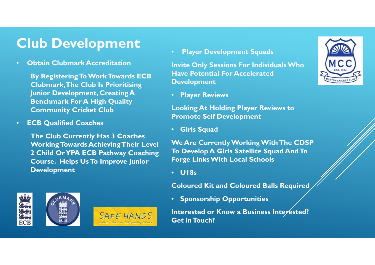## **Club Development**

•**Obtain Clubmark Accreditation**

> **By Registering To Work Towards ECB Clubmark, The Club Is Prioritising Junior Development, Creating A Benchmark For A High Quality Community Cricket Club**

•**ECB Qualified Coaches**

> **The Club Currently Has 3 Coaches Working Towards Achieving Their Level 2 Child Or YPA ECB Pathway Coaching Course. Helps Us To Improve Junior Development**

**Player Development Squads**

**Invite Only Sessions For Individuals Who Have Potential For Accelerated Development**

• **Player Reviews**

**Looking At Holding Player Reviews to Promote Self Development**

• **Girls Squad**

**We Are Currently Working With The CDSP To Develop A Girls Satellite Squad And To Forge Links With Local Schools**

• **U18s**

**Coloured Kit and Coloured Balls Required**

• **Sponsorship Opportunities**

**Interested or Know a Business Interested? Get in Touch?**